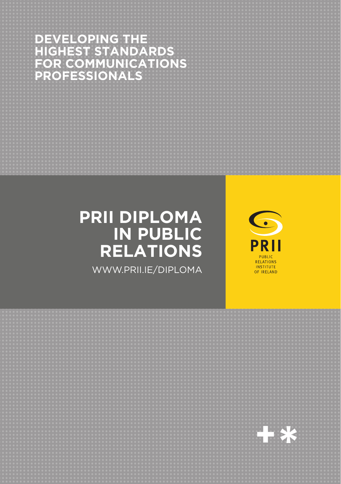# **DEVELOPING THE<br>HIGHEST STANDARDS<br>FOR COMMUNICATIONS<br>PROFESSIONALS**

## **PRII DIPLOMA** IN PUBLIC **RELATIONS**

WWW.PRII.IE/DIPLOMA



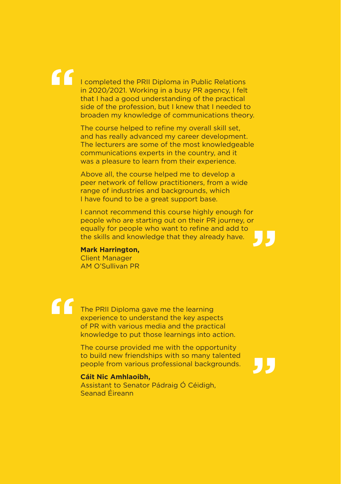# **"**

I completed the PRII Diploma in Public Relations in 2020/2021. Working in a busy PR agency, I felt that I had a good understanding of the practical side of the profession, but I knew that I needed to broaden my knowledge of communications theory.

The course helped to refine my overall skill set, and has really advanced my career development. The lecturers are some of the most knowledgeable communications experts in the country, and it was a pleasure to learn from their experience.

Above all, the course helped me to develop a peer network of fellow practitioners, from a wide range of industries and backgrounds, which I have found to be a great support base.

I cannot recommend this course highly enough for people who are starting out on their PR journey, or equally for people who want to refine and add to the skills and knowledge that they already have. **"**

#### **Mark Harrington,**

Client Manager AM O'Sullivan PR

The PRII Diploma gave me the learning experience to understand the key aspects of PR with various media and the practical knowledge to put those learnings into action. **"**

> The course provided me with the opportunity to build new friendships with so many talented people from various professional backgrounds.

**"**

#### **Cáit Nic Amhlaoibh,**

Assistant to Senator Pádraig Ó Céidigh, Seanad Éireann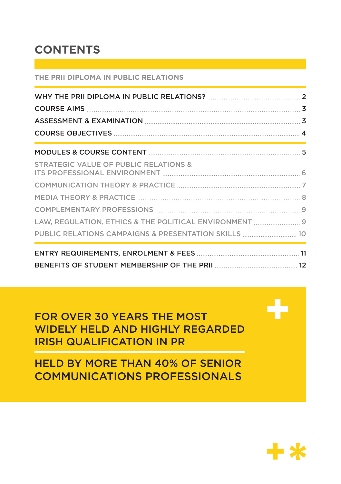## **CONTENTS**

#### **THE PRII DIPLOMA IN PUBLIC RELATIONS**

| <b>STRATEGIC VALUE OF PUBLIC RELATIONS &amp;</b>       |  |
|--------------------------------------------------------|--|
|                                                        |  |
|                                                        |  |
|                                                        |  |
| LAW, REGULATION, ETHICS & THE POLITICAL ENVIRONMENT  9 |  |
| PUBLIC RELATIONS CAMPAIGNS & PRESENTATION SKILLS  10   |  |
|                                                        |  |
|                                                        |  |

## FOR OVER 30 YEARS THE MOST WIDELY HELD AND HIGHLY REGARDED IRISH QUALIFICATION IN PR

## HELD BY MORE THAN 40% OF SENIOR COMMUNICATIONS PROFESSIONALS



**+**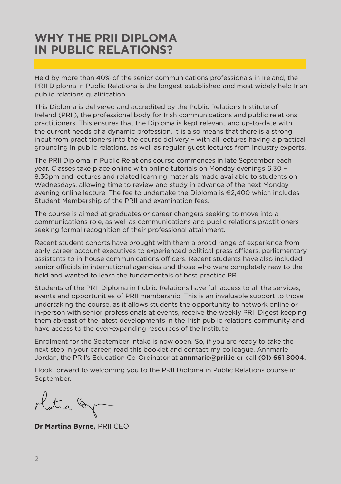## <span id="page-3-0"></span>**WHY THE PRII DIPLOMA IN PUBLIC RELATIONS?**

Held by more than 40% of the senior communications professionals in Ireland, the PRII Diploma in Public Relations is the longest established and most widely held Irish public relations qualification.

This Diploma is delivered and accredited by the Public Relations Institute of Ireland (PRII), the professional body for Irish communications and public relations practitioners. This ensures that the Diploma is kept relevant and up-to-date with the current needs of a dynamic profession. It is also means that there is a strong input from practitioners into the course delivery – with all lectures having a practical grounding in public relations, as well as regular guest lectures from industry experts.

The PRII Diploma in Public Relations course commences in late September each year. Classes take place online with online tutorials on Monday evenings 6.30 – 8.30pm and lectures and related learning materials made available to students on Wednesdays, allowing time to review and study in advance of the next Monday evening online lecture. The fee to undertake the Diploma is €2,400 which includes Student Membership of the PRII and examination fees.

The course is aimed at graduates or career changers seeking to move into a communications role, as well as communications and public relations practitioners seeking formal recognition of their professional attainment.

Recent student cohorts have brought with them a broad range of experience from early career account executives to experienced political press officers, parliamentary assistants to in-house communications officers. Recent students have also included senior officials in international agencies and those who were completely new to the field and wanted to learn the fundamentals of best practice PR.

Students of the PRII Diploma in Public Relations have full access to all the services, events and opportunities of PRII membership. This is an invaluable support to those undertaking the course, as it allows students the opportunity to network online or in-person with senior professionals at events, receive the weekly PRII Digest keeping them abreast of the latest developments in the Irish public relations community and have access to the ever-expanding resources of the Institute.

Enrolment for the September intake is now open. So, if you are ready to take the next step in your career, read this booklet and contact my colleague, Annmarie Jordan, the PRII's Education Co-Ordinator at **[annmarie@prii.ie](mailto:annmarie%40prii.ie?subject=)** or call (01) 661 8004.

I look forward to welcoming you to the PRII Diploma in Public Relations course in September.

Platie of

**Dr Martina Byrne,** PRII CEO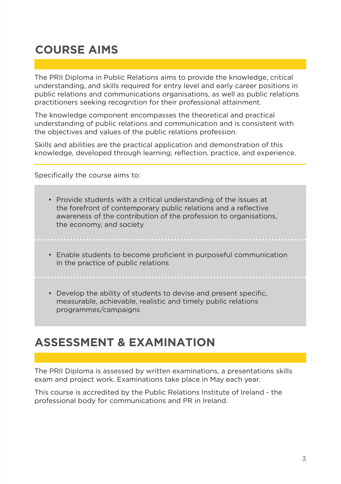## <span id="page-4-0"></span>**COURSE AIMS**

The PRII Diploma in Public Relations aims to provide the knowledge, critical understanding, and skills required for entry level and early career positions in public relations and communications organisations, as well as public relations practitioners seeking recognition for their professional attainment.

The knowledge component encompasses the theoretical and practical understanding of public relations and communication and is consistent with the objectives and values of the public relations profession.

Skills and abilities are the practical application and demonstration of this knowledge, developed through learning, reflection, practice, and experience.

Specifically the course aims to:

- Provide students with a critical understanding of the issues at the forefront of contemporary public relations and a reflective awareness of the contribution of the profession to organisations, the economy, and society
- Enable students to become proficient in purposeful communication in the practice of public relations

• Develop the ability of students to devise and present specific,

measurable, achievable, realistic and timely public relations programmes/campaigns

## **ASSESSMENT & EXAMINATION**

The PRII Diploma is assessed by written examinations, a presentations skills exam and project work. Examinations take place in May each year.

This course is accredited by the Public Relations Institute of Ireland - the professional body for communications and PR in Ireland.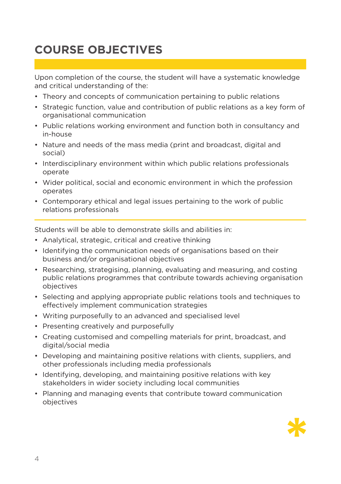## <span id="page-5-0"></span>**COURSE OBJECTIVES**

Upon completion of the course, the student will have a systematic knowledge and critical understanding of the:

- Theory and concepts of communication pertaining to public relations
- Strategic function, value and contribution of public relations as a key form of organisational communication
- Public relations working environment and function both in consultancy and in-house
- Nature and needs of the mass media (print and broadcast, digital and social)
- Interdisciplinary environment within which public relations professionals operate
- Wider political, social and economic environment in which the profession operates
- Contemporary ethical and legal issues pertaining to the work of public relations professionals

Students will be able to demonstrate skills and abilities in:

- Analytical, strategic, critical and creative thinking
- Identifying the communication needs of organisations based on their business and/or organisational objectives
- Researching, strategising, planning, evaluating and measuring, and costing public relations programmes that contribute towards achieving organisation objectives
- Selecting and applying appropriate public relations tools and techniques to effectively implement communication strategies
- Writing purposefully to an advanced and specialised level
- Presenting creatively and purposefully
- Creating customised and compelling materials for print, broadcast, and digital/social media
- Developing and maintaining positive relations with clients, suppliers, and other professionals including media professionals
- Identifying, developing, and maintaining positive relations with key stakeholders in wider society including local communities
- Planning and managing events that contribute toward communication objectives

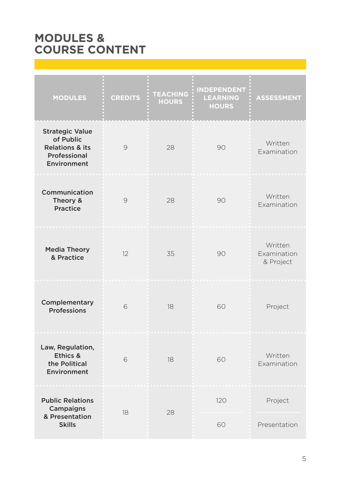## <span id="page-6-0"></span>**MODULES & COURSE CONTENT**

| <b>MODULES</b>                                                                                   | <b>CREDITS</b> | <b>TEACHING</b><br><b>HOURS</b> | <b>INDEPENDENT</b><br><b>LEARNING</b><br><b>HOURS</b> | <b>ASSESSMENT</b>                   |
|--------------------------------------------------------------------------------------------------|----------------|---------------------------------|-------------------------------------------------------|-------------------------------------|
| <b>Strategic Value</b><br>of Public<br><b>Relations &amp; its</b><br>Professional<br>Environment | 9              | 28                              | 90                                                    | Written<br>Examination              |
| Communication<br>Theory &<br>Practice                                                            | 9              | 28                              | 90                                                    | Written<br>Examination              |
| <b>Media Theory</b><br>& Practice                                                                | 12             | 35                              | 90                                                    | Written<br>Examination<br>& Project |
| Complementary<br>Professions                                                                     | 6              | 18                              | 60                                                    | Project                             |
| Law, Regulation,<br>Ethics &<br>the Political<br>Environment                                     | 6              | 18                              | 60                                                    | Written<br>Examination              |
| <b>Public Relations</b><br>Campaigns<br>& Presentation<br><b>Skills</b>                          | 18             | 28                              | 120                                                   | Project                             |
|                                                                                                  |                |                                 | 60                                                    | Presentation                        |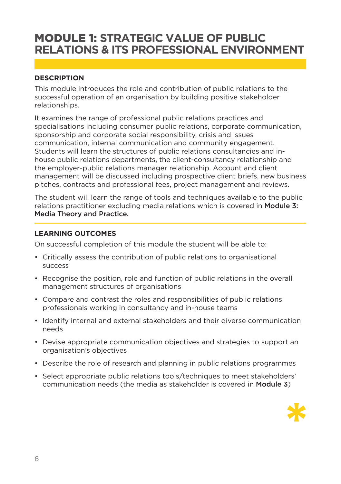## <span id="page-7-0"></span>MODULE 1: **STRATEGIC VALUE OF PUBLIC RELATIONS & ITS PROFESSIONAL ENVIRONMENT**

#### **DESCRIPTION**

This module introduces the role and contribution of public relations to the successful operation of an organisation by building positive stakeholder relationships.

It examines the range of professional public relations practices and specialisations including consumer public relations, corporate communication, sponsorship and corporate social responsibility, crisis and issues communication, internal communication and community engagement. Students will learn the structures of public relations consultancies and inhouse public relations departments, the client-consultancy relationship and the employer-public relations manager relationship. Account and client management will be discussed including prospective client briefs, new business pitches, contracts and professional fees, project management and reviews.

The student will learn the range of tools and techniques available to the public relations practitioner excluding media relations which is covered in [Module 3:](#page-9-0)  [Media Theory and Practice](#page-9-0).

#### **LEARNING OUTCOMES**

On successful completion of this module the student will be able to:

- Critically assess the contribution of public relations to organisational success
- Recognise the position, role and function of public relations in the overall management structures of organisations
- Compare and contrast the roles and responsibilities of public relations professionals working in consultancy and in-house teams
- Identify internal and external stakeholders and their diverse communication needs
- Devise appropriate communication objectives and strategies to support an organisation's objectives
- Describe the role of research and planning in public relations programmes
- Select appropriate public relations tools/techniques to meet stakeholders' communication needs (the media as stakeholder is covered in Module 3)

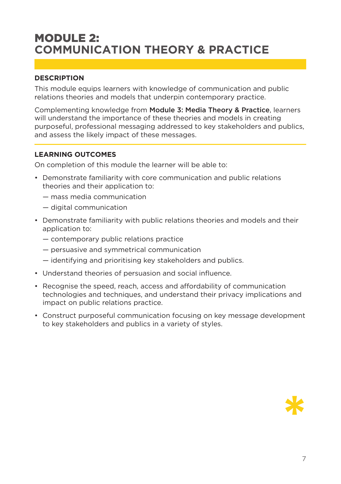## <span id="page-8-0"></span>MODULE 2: **COMMUNICATION THEORY & PRACTICE**

#### **DESCRIPTION**

This module equips learners with knowledge of communication and public relations theories and models that underpin contemporary practice.

Complementing knowledge from [Module 3: Media Theory & Practice](#page-9-0), learners will understand the importance of these theories and models in creating purposeful, professional messaging addressed to key stakeholders and publics, and assess the likely impact of these messages.

#### **LEARNING OUTCOMES**

On completion of this module the learner will be able to:

- Demonstrate familiarity with core communication and public relations theories and their application to:
	- mass media communication
	- digital communication
- Demonstrate familiarity with public relations theories and models and their application to:
	- contemporary public relations practice
	- persuasive and symmetrical communication
	- identifying and prioritising key stakeholders and publics.
- Understand theories of persuasion and social influence.
- Recognise the speed, reach, access and affordability of communication technologies and techniques, and understand their privacy implications and impact on public relations practice.
- Construct purposeful communication focusing on key message development to key stakeholders and publics in a variety of styles.

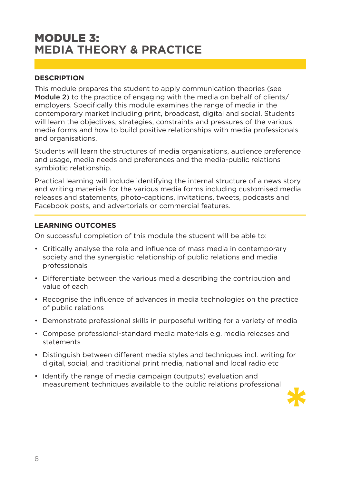## <span id="page-9-0"></span>MODULE 3: **MEDIA THEORY & PRACTICE**

#### **DESCRIPTION**

This module prepares the student to apply communication theories (see Module 2) to the practice of engaging with the media on behalf of clients/ employers. Specifically this module examines the range of media in the contemporary market including print, broadcast, digital and social. Students will learn the objectives, strategies, constraints and pressures of the various media forms and how to build positive relationships with media professionals and organisations.

Students will learn the structures of media organisations, audience preference and usage, media needs and preferences and the media-public relations symbiotic relationship.

Practical learning will include identifying the internal structure of a news story and writing materials for the various media forms including customised media releases and statements, photo-captions, invitations, tweets, podcasts and Facebook posts, and advertorials or commercial features.

#### **LEARNING OUTCOMES**

On successful completion of this module the student will be able to:

- Critically analyse the role and influence of mass media in contemporary society and the synergistic relationship of public relations and media professionals
- Differentiate between the various media describing the contribution and value of each
- Recognise the influence of advances in media technologies on the practice of public relations
- Demonstrate professional skills in purposeful writing for a variety of media
- Compose professional-standard media materials e.g. media releases and statements
- Distinguish between different media styles and techniques incl. writing for digital, social, and traditional print media, national and local radio etc
- Identify the range of media campaign (outputs) evaluation and measurement techniques available to the public relations professional

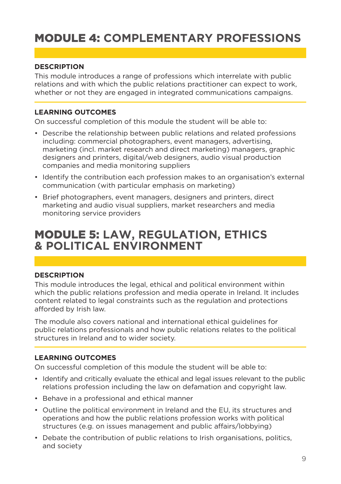## <span id="page-10-0"></span>MODULE 4: **COMPLEMENTARY PROFESSIONS**

#### **DESCRIPTION**

This module introduces a range of professions which interrelate with public relations and with which the public relations practitioner can expect to work, whether or not they are engaged in integrated communications campaigns.

#### **LEARNING OUTCOMES**

On successful completion of this module the student will be able to:

- Describe the relationship between public relations and related professions including: commercial photographers, event managers, advertising, marketing (incl. market research and direct marketing) managers, graphic designers and printers, digital/web designers, audio visual production companies and media monitoring suppliers
- Identify the contribution each profession makes to an organisation's external communication (with particular emphasis on marketing)
- Brief photographers, event managers, designers and printers, direct marketing and audio visual suppliers, market researchers and media monitoring service providers

### MODULE 5: **LAW, REGULATION, ETHICS & POLITICAL ENVIRONMENT**

#### **DESCRIPTION**

This module introduces the legal, ethical and political environment within which the public relations profession and media operate in Ireland. It includes content related to legal constraints such as the regulation and protections afforded by Irish law.

The module also covers national and international ethical guidelines for public relations professionals and how public relations relates to the political structures in Ireland and to wider society.

#### **LEARNING OUTCOMES**

On successful completion of this module the student will be able to:

- Identify and critically evaluate the ethical and legal issues relevant to the public relations profession including the law on defamation and copyright law.
- Behave in a professional and ethical manner
- Outline the political environment in Ireland and the EU, its structures and operations and how the public relations profession works with political structures (e.g. on issues management and public affairs/lobbying)
- Debate the contribution of public relations to Irish organisations, politics, and society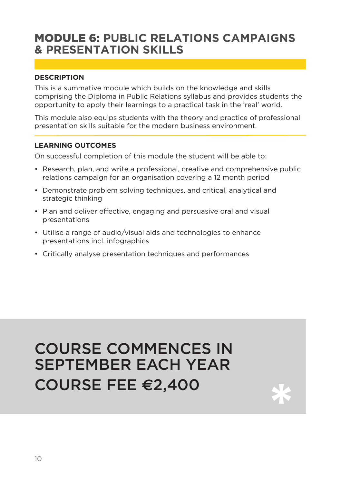## <span id="page-11-0"></span>MODULE 6: **PUBLIC RELATIONS CAMPAIGNS & PRESENTATION SKILLS**

#### **DESCRIPTION**

This is a summative module which builds on the knowledge and skills comprising the Diploma in Public Relations syllabus and provides students the opportunity to apply their learnings to a practical task in the 'real' world.

This module also equips students with the theory and practice of professional presentation skills suitable for the modern business environment.

#### **LEARNING OUTCOMES**

On successful completion of this module the student will be able to:

- Research, plan, and write a professional, creative and comprehensive public relations campaign for an organisation covering a 12 month period
- Demonstrate problem solving techniques, and critical, analytical and strategic thinking
- Plan and deliver effective, engaging and persuasive oral and visual presentations
- Utilise a range of audio/visual aids and technologies to enhance presentations incl. infographics
- Critically analyse presentation techniques and performances

## COURSE COMMENCES IN SEPTEMBER EACH YEAR COURSE FEE **€**2,400 **\***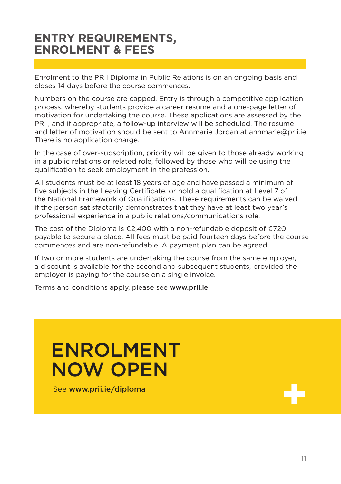## <span id="page-12-0"></span>**ENTRY REQUIREMENTS, ENROLMENT & FEES**

Enrolment to the PRII Diploma in Public Relations is on an ongoing basis and closes 14 days before the course commences.

Numbers on the course are capped. Entry is through a competitive application process, whereby students provide a career resume and a one-page letter of motivation for undertaking the course. These applications are assessed by the PRII, and if appropriate, a follow-up interview will be scheduled. The resume and letter of motivation should be sent to Annmarie Jordan at annmarie@prii.ie. There is no application charge.

In the case of over-subscription, priority will be given to those already working in a public relations or related role, followed by those who will be using the qualification to seek employment in the profession.

All students must be at least 18 years of age and have passed a minimum of five subjects in the Leaving Certificate, or hold a qualification at Level 7 of the National Framework of Qualifications. These requirements can be waived if the person satisfactorily demonstrates that they have at least two year's professional experience in a public relations/communications role.

The cost of the Diploma is  $\epsilon$ 2,400 with a non-refundable deposit of  $\epsilon$ 720 payable to secure a place. All fees must be paid fourteen days before the course commences and are non-refundable. A payment plan can be agreed.

If two or more students are undertaking the course from the same employer, a discount is available for the second and subsequent students, provided the employer is paying for the course on a single invoice.

Terms and conditions apply, please see [www.prii.ie](http://www.prii.ie)

# ENROLMENT NOW OPEN

See www.prii.ie/diploma

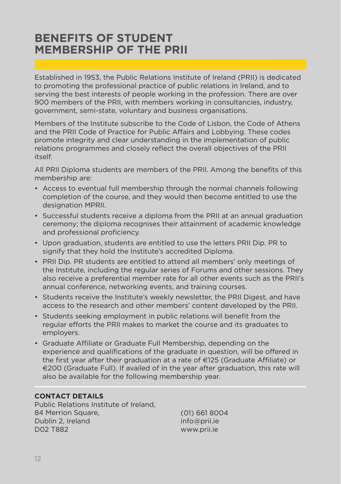## <span id="page-13-0"></span>**BENEFITS OF STUDENT MEMBERSHIP OF THE PRII**

Established in 1953, the Public Relations Institute of Ireland (PRII) is dedicated to promoting the professional practice of public relations in Ireland, and to serving the best interests of people working in the profession. There are over 900 members of the PRII, with members working in consultancies, industry, government, semi-state, voluntary and business organisations.

Members of the Institute subscribe to the Code of Lisbon, the Code of Athens and the PRII Code of Practice for Public Affairs and Lobbying. These codes promote integrity and clear understanding in the implementation of public relations programmes and closely reflect the overall objectives of the PRII itself.

All PRII Diploma students are members of the PRII. Among the benefits of this membership are:

- Access to eventual full membership through the normal channels following completion of the course, and they would then become entitled to use the designation MPRII.
- Successful students receive a diploma from the PRII at an annual graduation ceremony; the diploma recognises their attainment of academic knowledge and professional proficiency.
- Upon graduation, students are entitled to use the letters PRII Dip. PR to signify that they hold the Institute's accredited Diploma.
- PRII Dip. PR students are entitled to attend all members' only meetings of the Institute, including the regular series of Forums and other sessions. They also receive a preferential member rate for all other events such as the PRII's annual conference, networking events, and training courses.
- Students receive the Institute's weekly newsletter, the PRII Digest, and have access to the research and other members' content developed by the PRII.
- Students seeking employment in public relations will benefit from the regular efforts the PRII makes to market the course and its graduates to employers.
- Graduate Affiliate or Graduate Full Membership, depending on the experience and qualifications of the graduate in question, will be offered in the first year after their graduation at a rate of €125 (Graduate Affiliate) or €200 (Graduate Full). If availed of in the year after graduation, this rate will also be available for the following membership year.

#### **CONTACT DETAILS**

Public Relations Institute of Ireland, 84 Merrion Square, Dublin 2, Ireland D02 T882

(01) 661 8004 [info@prii.ie](mailto:info%40prii.ie?subject=) [www.prii.ie](http://www.prii.ie)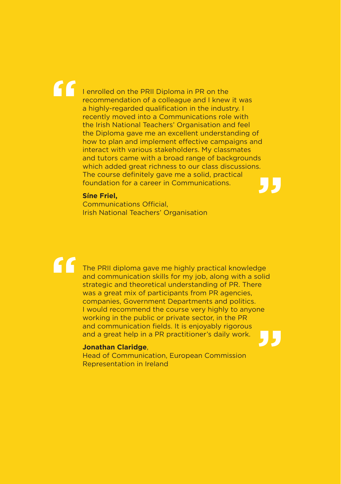# **"**

**"**

I enrolled on the PRII Diploma in PR on the recommendation of a colleague and I knew it was a highly-regarded qualification in the industry. I recently moved into a Communications role with the Irish National Teachers' Organisation and feel the Diploma gave me an excellent understanding of how to plan and implement effective campaigns and interact with various stakeholders. My classmates and tutors came with a broad range of backgrounds which added great richness to our class discussions. The course definitely gave me a solid, practical foundation for a career in Communications. **"**

#### **Síne Friel,**

Communications Official, Irish National Teachers' Organisation

The PRII diploma gave me highly practical knowledge and communication skills for my job, along with a solid strategic and theoretical understanding of PR. There was a great mix of participants from PR agencies, companies, Government Departments and politics. I would recommend the course very highly to anyone working in the public or private sector, in the PR and communication fields. It is enjoyably rigorous and a great help in a PR practitioner's daily work. **"**

#### **Jonathan Claridge**,

Head of Communication, European Commission Representation in Ireland